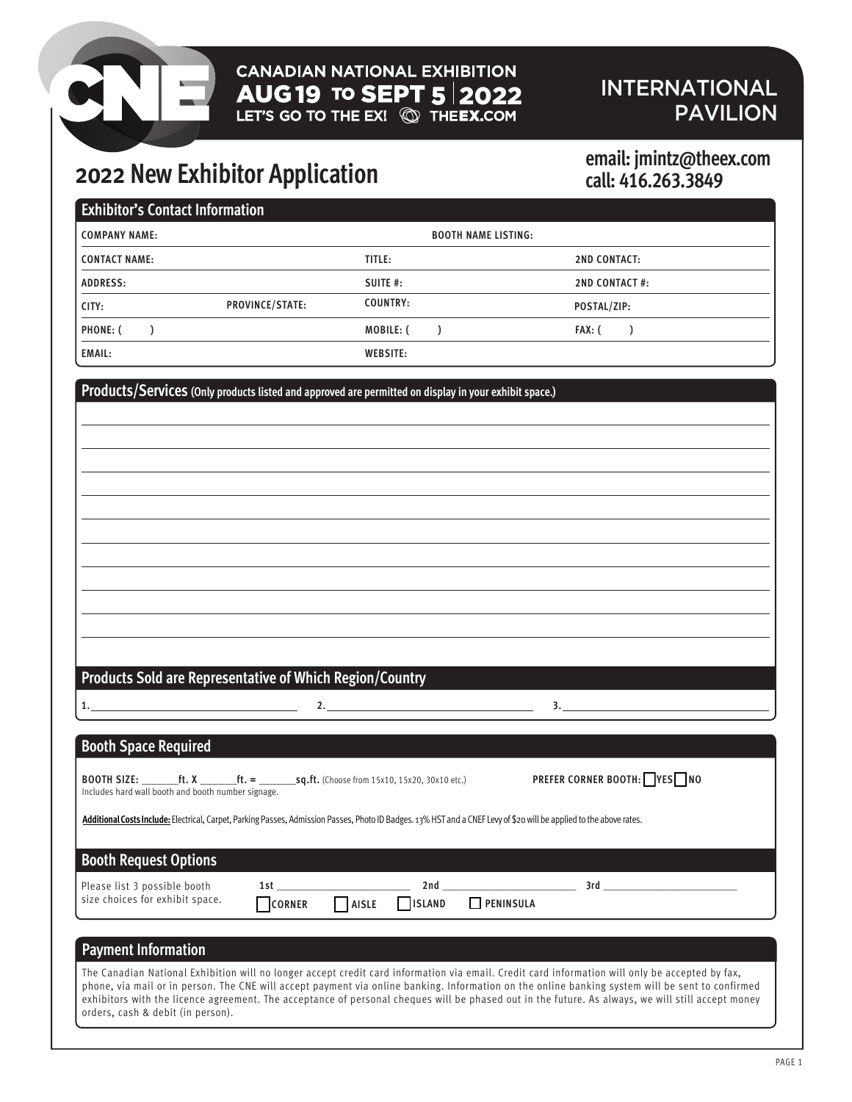### INTERNATIONAL **PAVILION**

# **2022 New Exhibitor Application email: jmintz@theex.com**

# **call: 416.263.3849**

| <b>Exhibitor's Contact Information</b> |                 |                 |                            |                       |  |
|----------------------------------------|-----------------|-----------------|----------------------------|-----------------------|--|
| <b>COMPANY NAME:</b>                   |                 |                 | <b>BOOTH NAME LISTING:</b> |                       |  |
| <b>CONTACT NAME:</b>                   |                 | TITLE:          |                            | <b>2ND CONTACT:</b>   |  |
| <b>ADDRESS:</b>                        |                 | SUITE #:        |                            | <b>2ND CONTACT #:</b> |  |
| CITY:                                  | PROVINCE/STATE: | <b>COUNTRY:</b> |                            | POSTAL/ZIP:           |  |
| <b>PHONE: (</b>                        |                 | MOBILE: (       |                            | FAX: (                |  |
| <b>EMAIL:</b>                          |                 | <b>WEBSITE:</b> |                            |                       |  |

**Products/Services (Only products listed and approved are permitted on display in your exhibit space.)**

### **Products Sold are Representative of Which Region/Country**

| <b>Booth Space Required</b> |  |
|-----------------------------|--|

**1. 2. 3.** 

| <b>BOOTH SIZE:</b>                                 |  | <b>ft. X</b> ft. $=$ <b>sq.ft.</b> (Choose from 15x10, 15x20, 30x10 etc.) | PREFER CORNER BOOTH: YES NO |  |
|----------------------------------------------------|--|---------------------------------------------------------------------------|-----------------------------|--|
| Includes hard wall booth and booth number signage. |  |                                                                           |                             |  |

Additional Costs Include: Electrical, Carpet, Parking Passes, Admission Passes, Photo ID Badges. 13% HST and a CNEF Levy of \$20 will be applied to the above rates.

### **Booth Request Options**

| Please list 3 possible booth      |                 | 2 n d        |               |                  |  |
|-----------------------------------|-----------------|--------------|---------------|------------------|--|
| I size choices for exhibit space. | <b>T</b> CORNER | <b>AISLE</b> | <b>ISLAND</b> | <b>PENINSULA</b> |  |

### **Payment Information**

The Canadian National Exhibition will no longer accept credit card information via email. Credit card information will only be accepted by fax, phone, via mail or in person. The CNE will accept payment via online banking. Information on the online banking system will be sent to confirmed exhibitors with the licence agreement. The acceptance of personal cheques will be phased out in the future. As always, we will still accept money orders, cash & debit (in person).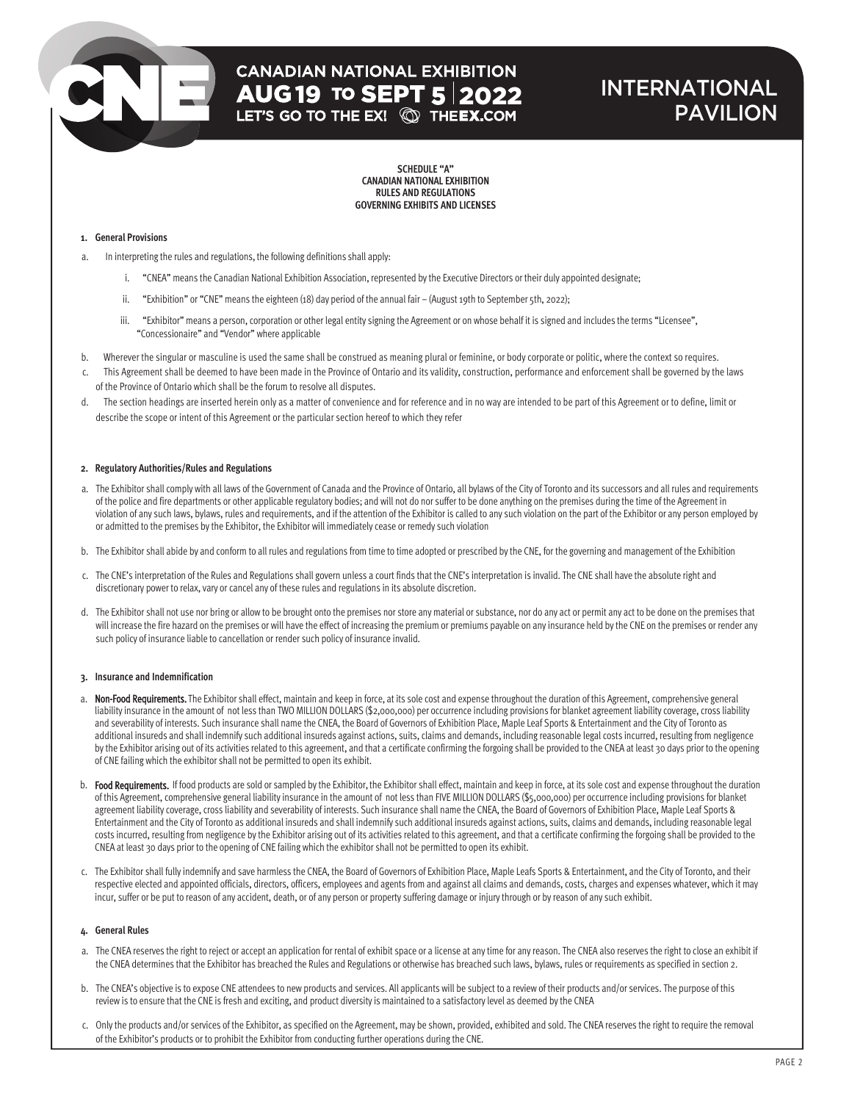### INTERNATIONAL PAVILION

**SCHEDULE "A" CANADIAN NATIONAL EXHIBITION RULES AND REGULATIONS GOVERNING EXHIBITS AND LICENSES**

### **1. General Provisions**

- a. In interpreting the rules and regulations, the following definitions shall apply:
	- i. "CNEA" means the Canadian National Exhibition Association, represented by the Executive Directors or their duly appointed designate;
	- ii. "Exhibition" or "CNE" means the eighteen (18) day period of the annual fair (August 19th to September 5th, 2022);
	- iii. "Exhibitor" means a person, corporation or other legal entity signing the Agreement or on whose behalf it is signed and includes the terms "Licensee", "Concessionaire" and "Vendor" where applicable
- b. Wherever the singular or masculine is used the same shall be construed as meaning plural or feminine, or body corporate or politic, where the context so requires.
- c. This Agreement shall be deemed to have been made in the Province of Ontario and its validity, construction, performance and enforcement shall be governed by the laws of the Province of Ontario which shall be the forum to resolve all disputes.
- d. The section headings are inserted herein only as a matter of convenience and for reference and in no way are intended to be part of this Agreement or to define, limit or describe the scope or intent of this Agreement or the particular section hereof to which they refer

#### **2. Regulatory Authorities/Rules and Regulations**

- a. The Exhibitor shall comply with all laws of the Government of Canada and the Province of Ontario, all bylaws of the City of Toronto and its successors and all rules and requirements of the police and fire departments or other applicable regulatory bodies; and will not do nor suffer to be done anything on the premises during the time of the Agreement in violation of any such laws, bylaws, rules and requirements, and if the attention of the Exhibitor is called to any such violation on the part of the Exhibitor or any person employed by or admitted to the premises by the Exhibitor, the Exhibitor will immediately cease or remedy such violation
- b. The Exhibitor shall abide by and conform to all rules and regulations from time to time adopted or prescribed by the CNE, for the governing and management of the Exhibition
- c. The CNE's interpretation of the Rules and Regulations shall govern unless a court finds that the CNE's interpretation is invalid. The CNE shall have the absolute right and discretionary power to relax, vary or cancel any of these rules and regulations in its absolute discretion.
- d. The Exhibitor shall not use nor bring or allow to be brought onto the premises nor store any material or substance, nor do any act or permit any act to be done on the premises that will increase the fire hazard on the premises or will have the effect of increasing the premium or premiums payable on any insurance held by the CNE on the premises or render any such policy of insurance liable to cancellation or render such policy of insurance invalid.

### **3. Insurance and Indemnification**

- a. Non-Food Requirements. The Exhibitor shall effect, maintain and keep in force, at its sole cost and expense throughout the duration of this Agreement, comprehensive general liability insurance in the amount of not less than TWO MILLION DOLLARS (\$2,000,000) per occurrence including provisions for blanket agreement liability coverage, cross liability and severability of interests. Such insurance shall name the CNEA, the Board of Governors of Exhibition Place, Maple Leaf Sports & Entertainment and the City of Toronto as additional insureds and shall indemnify such additional insureds against actions, suits, claims and demands, including reasonable legal costs incurred, resulting from negligence by the Exhibitor arising out of its activities related to this agreement, and that a certificate confirming the forgoing shall be provided to the CNEA at least 30 days prior to the opening of CNE failing which the exhibitor shall not be permitted to open its exhibit.
- b. Food Requirements. If food products are sold or sampled by the Exhibitor, the Exhibitor shall effect, maintain and keep in force, at its sole cost and expense throughout the duration of this Agreement, comprehensive general liability insurance in the amount of not less than FIVE MILLION DOLLARS (\$5,000,000) per occurrence including provisions for blanket agreement liability coverage, cross liability and severability of interests. Such insurance shall name the CNEA, the Board of Governors of Exhibition Place, Maple Leaf Sports & Entertainment and the City of Toronto as additional insureds and shall indemnify such additional insureds against actions, suits, claims and demands, including reasonable legal costs incurred, resulting from negligence by the Exhibitor arising out of its activities related to this agreement, and that a certificate confirming the forgoing shall be provided to the CNEA at least 30 days prior to the opening of CNE failing which the exhibitor shall not be permitted to open its exhibit.
- c. The Exhibitor shall fully indemnify and save harmless the CNEA, the Board of Governors of Exhibition Place, Maple Leafs Sports & Entertainment, and the City of Toronto, and their respective elected and appointed officials, directors, officers, employees and agents from and against all claims and demands, costs, charges and expenses whatever, which it may incur, suffer or be put to reason of any accident, death, or of any person or property suffering damage or injury through or by reason of any such exhibit.

### **4. General Rules**

- a. The CNEA reserves the right to reject or accept an application for rental of exhibit space or a license at any time for any reason. The CNEA also reserves the right to close an exhibit if the CNEA determines that the Exhibitor has breached the Rules and Regulations or otherwise has breached such laws, bylaws, rules or requirements as specified in section 2.
- b. The CNEA's objective is to expose CNE attendees to new products and services. All applicants will be subject to a review of their products and/or services. The purpose of this review is to ensure that the CNE is fresh and exciting, and product diversity is maintained to a satisfactory level as deemed by the CNEA
- c. Only the products and/or services of the Exhibitor, as specified on the Agreement, may be shown, provided, exhibited and sold. The CNEA reserves the right to require the removal of the Exhibitor's products or to prohibit the Exhibitor from conducting further operations during the CNE.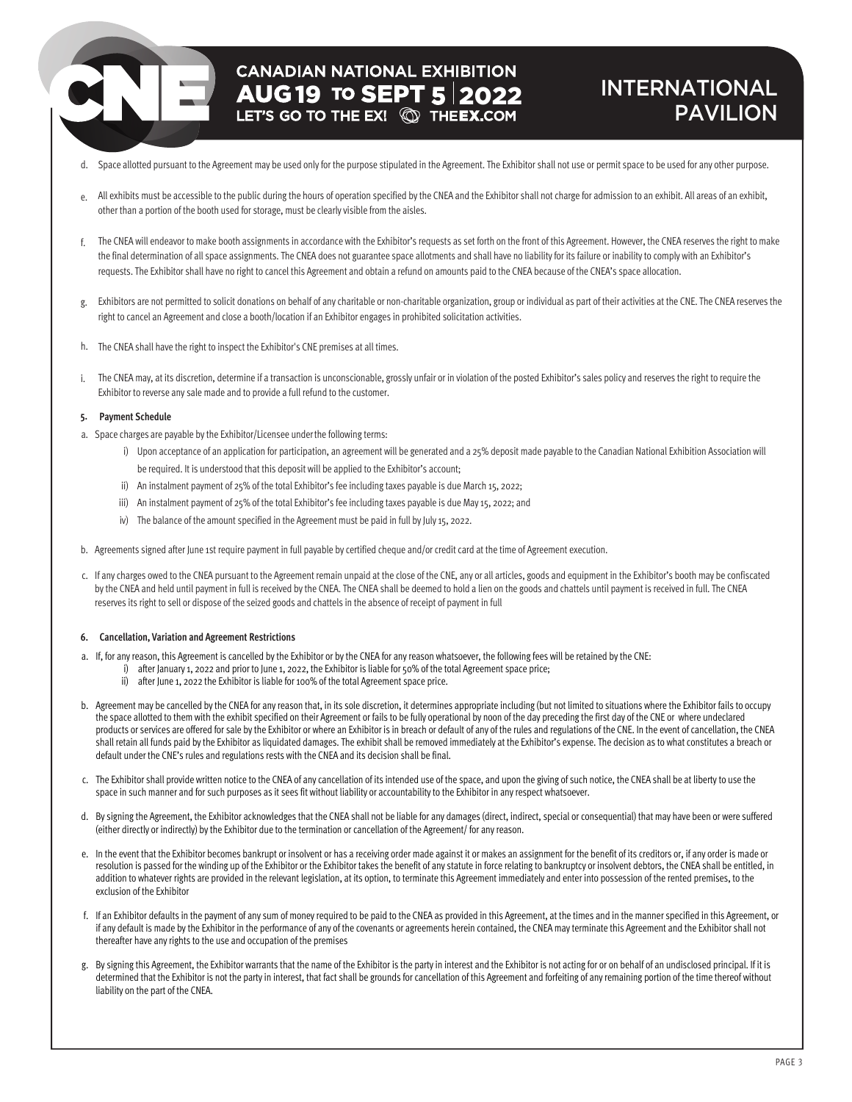# **CANADIAN NATIONAL EXHIBITION AUG 19 TO SEPT 5 2022**

### INTERNATIONAL PAVILION

- d. Space allotted pursuant to the Agreement may be used only for the purpose stipulated in the Agreement. The Exhibitor shall not use or permit space to be used for any other purpose.
- e. All exhibits must be accessible to the public during the hours of operation specified by the CNEA and the Exhibitor shall not charge for admission to an exhibit. All areas of an exhibit, other than a portion of the booth used for storage, must be clearly visible from the aisles.
- f. The CNEA will endeavor to make booth assignments in accordance with the Exhibitor's requests as set forth on the front of this Agreement. However, the CNEA reserves the right to make the final determination of all space assignments. The CNEA does not guarantee space allotments and shall have no liability for its failure or inability to comply with an Exhibitor's requests. The Exhibitor shall have no right to cancel this Agreement and obtain a refund on amounts paid to the CNEA because of the CNEA's space allocation.
- g. Exhibitors are not permitted to solicit donations on behalf of any charitable or non-charitable organization, group or individual as part of their activities at the CNE. The CNEA reserves the right to cancel an Agreement and close a booth/location if an Exhibitor engages in prohibited solicitation activities.
- h. The CNEA shall have the right to inspect the Exhibitor's CNE premises at all times.
- i. The CNEA may, at its discretion, determine if a transaction is unconscionable, grossly unfair or in violation of the posted Exhibitor's sales policy and reserves the right to require the Exhibitor to reverse any sale made and to provide a full refund to the customer.

### **5. Payment Schedule**

- a. Space charges are payable by the Exhibitor/Licensee underthe following terms:
	- i) Upon acceptance of an application for participation, an agreement will be generated and a 25% deposit made payable to the Canadian National Exhibition Association will be required. It is understood that this deposit will be applied to the Exhibitor's account;
	- ii) An instalment payment of 25% of the total Exhibitor's fee including taxes payable is due March 15, 2022;
	- iii) An instalment payment of 25% of the total Exhibitor's fee including taxes payable is due May 15, 2022; and
	- iv) The balance of the amount specified in the Agreement must be paid in full by July 15, 2022.
- b. Agreements signed after June 1st require payment in full payable by certified cheque and/or credit card at the time of Agreement execution.
- c. If any charges owed to the CNEA pursuant to the Agreement remain unpaid at the close of the CNE, any or all articles, goods and equipment in the Exhibitor's booth may be confiscated by the CNEA and held until payment in full is received by the CNEA. The CNEA shall be deemed to hold a lien on the goods and chattels until payment is received in full. The CNEA reserves its right to sell or dispose of the seized goods and chattels in the absence of receipt of payment in full

### **6. Cancellation, Variation and Agreement Restrictions**

- a. If, for any reason, this Agreement is cancelled by the Exhibitor or by the CNEA for any reason whatsoever, the following fees will be retained by the CNE:
	- i) after January 1, 2022 and prior to June 1, 2022, the Exhibitor is liable for 50% of the total Agreement space price;
		- ii) after June 1, 2022 the Exhibitor is liable for 100% of the total Agreement space price.
- b. Agreement may be cancelled by the CNEA for any reason that, in its sole discretion, it determines appropriate including (but not limited to situations where the Exhibitor fails to occupy the space allotted to them with the exhibit specified on their Agreement or fails to be fully operational by noon of the day preceding the first day of the CNE or where undeclared products or services are offered for sale by the Exhibitor or where an Exhibitor is in breach or default of any of the rules and regulations of the CNE. In the event of cancellation, the CNEA shall retain all funds paid by the Exhibitor as liquidated damages. The exhibit shall be removed immediately at the Exhibitor's expense. The decision as to what constitutes a breach or default under the CNE's rules and regulations rests with the CNEA and its decision shall be final.
- c. The Exhibitor shall provide written notice to the CNEA of any cancellation of its intended use of the space, and upon the giving of such notice, the CNEA shall be at liberty to use the space in such manner and for such purposes as it sees fit without liability or accountability to the Exhibitor in any respect whatsoever.
- d. By signing the Agreement, the Exhibitor acknowledges that the CNEA shall not be liable for any damages (direct, indirect, special or consequential) that may have been or were suffered (either directly or indirectly) by the Exhibitor due to the termination or cancellation of the Agreement/ for any reason.
- e. In the event that the Exhibitor becomes bankrupt or insolvent or has a receiving order made against it or makes an assignment for the benefit of its creditors or, if any order is made or resolution is passed for the winding up of the Exhibitor or the Exhibitor takes the benefit of any statute in force relating to bankruptcy or insolvent debtors, the CNEA shall be entitled, in addition to whatever rights are provided in the relevant legislation, at its option, to terminate this Agreement immediately and enter into possession of the rented premises, to the exclusion of the Exhibitor
- f. If an Exhibitor defaults in the payment of any sum of money required to be paid to the CNEA as provided in this Agreement, at the times and in the manner specified in this Agreement, or if any default is made by the Exhibitor in the performance of any of the covenants or agreements herein contained, the CNEA may terminate this Agreement and the Exhibitor shall not thereafter have any rights to the use and occupation of the premises
- g. By signing this Agreement, the Exhibitor warrants that the name of the Exhibitor is the party in interest and the Exhibitor is not acting for or on behalf of an undisclosed principal. If it is determined that the Exhibitor is not the party in interest, that fact shall be grounds for cancellation of this Agreement and forfeiting of any remaining portion of the time thereof without liability on the part of the CNEA.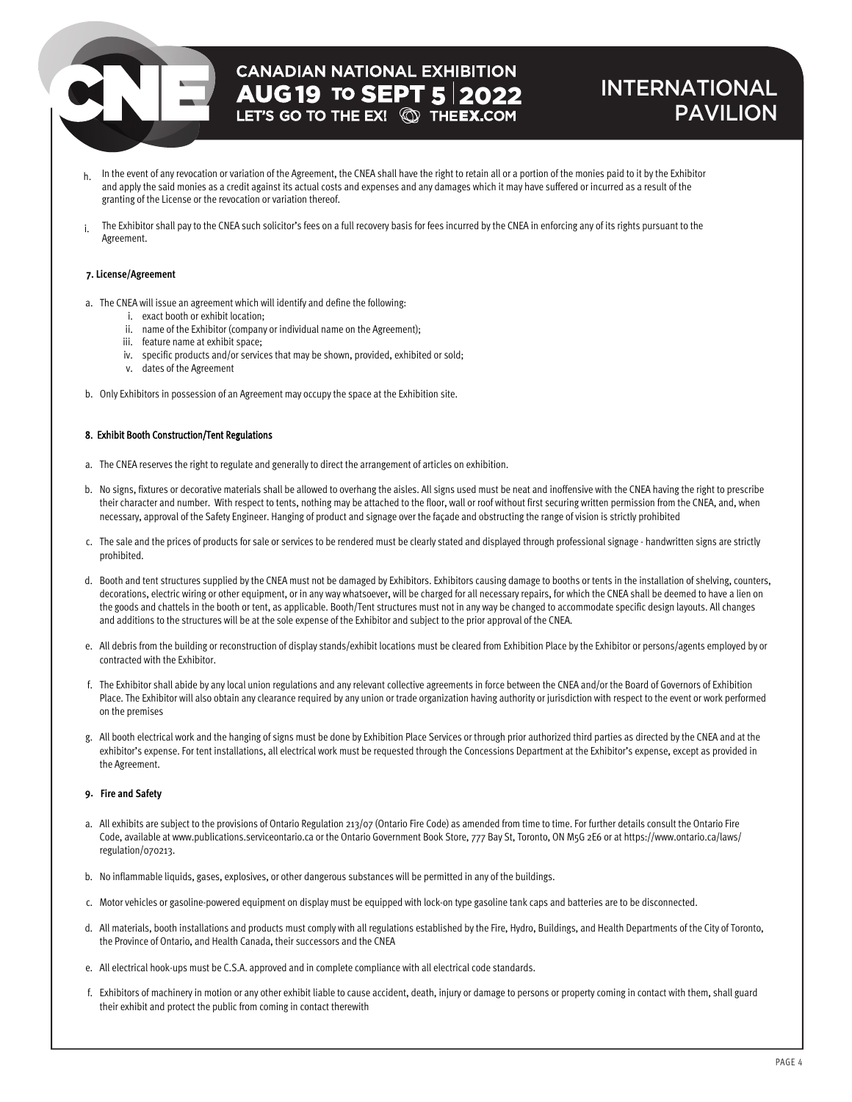### INTERNATIONAL PAVILION

- h. In the event of any revocation or variation of the Agreement, the CNEA shall have the right to retain all or a portion of the monies paid to it by the Exhibitor and apply the said monies as a credit against its actual costs and expenses and any damages which it may have suffered or incurred as a result of the granting of the License or the revocation or variation thereof.
- i. The Exhibitor shall pay to the CNEA such solicitor's fees on a full recovery basis for fees incurred by the CNEA in enforcing any of its rights pursuant to the Agreement.

### **7. License/Agreement**

- a. The CNEA will issue an agreement which will identify and define the following:
	- i. exact booth or exhibit location;
	- ii. name of the Exhibitor (company or individual name on the Agreement);
	- iii. feature name at exhibit space;
	- iv. specific products and/or services that may be shown, provided, exhibited or sold;
	- v. dates of the Agreement
- b. Only Exhibitors in possession of an Agreement may occupy the space at the Exhibition site.

### 8. Exhibit Booth Construction/Tent Regulations

- a. The CNEA reserves the right to regulate and generally to direct the arrangement of articles on exhibition.
- b. No signs, fixtures or decorative materials shall be allowed to overhang the aisles. All signs used must be neat and inoffensive with the CNEA having the right to prescribe their character and number. With respect to tents, nothing may be attached to the floor, wall or roof without first securing written permission from the CNEA, and, when necessary, approval of the Safety Engineer. Hanging of product and signage over the façade and obstructing the range of vision is strictly prohibited
- c. The sale and the prices of products for sale or services to be rendered must be clearly stated and displayed through professional signage handwritten signs are strictly prohibited.
- d. Booth and tent structures supplied by the CNEA must not be damaged by Exhibitors. Exhibitors causing damage to booths or tents in the installation of shelving, counters, decorations, electric wiring or other equipment, or in any way whatsoever, will be charged for all necessary repairs, for which the CNEA shall be deemed to have a lien on the goods and chattels in the booth or tent, as applicable. Booth/Tent structures must not in any way be changed to accommodate specific design layouts. All changes and additions to the structures will be at the sole expense of the Exhibitor and subject to the prior approval of the CNEA.
- e. All debris from the building or reconstruction of display stands/exhibit locations must be cleared from Exhibition Place by the Exhibitor or persons/agents employed by or contracted with the Exhibitor.
- f. The Exhibitor shall abide by any local union regulations and any relevant collective agreements in force between the CNEA and/or the Board of Governors of Exhibition Place. The Exhibitor will also obtain any clearance required by any union or trade organization having authority or jurisdiction with respect to the event or work performed on the premises
- g. All booth electrical work and the hanging of signs must be done by Exhibition Place Services or through prior authorized third parties as directed by the CNEA and at the exhibitor's expense. For tent installations, all electrical work must be requested through the Concessions Department at the Exhibitor's expense, except as provided in the Agreement.

### **9. Fire and Safety**

- a. All exhibits are subject to the provisions of Ontario Regulation 213/07 (Ontario Fire Code) as amended from time to time. For further details consult the Ontario Fire Code, available at www.publications.serviceontario.ca or the Ontario Government Book Store, 777 Bay St, Toronto, ON M5G 2E6 or at https://www.ontario.ca/laws/ regulation/070213.
- b. No inflammable liquids, gases, explosives, or other dangerous substances will be permitted in any of the buildings.
- c. Motor vehicles or gasoline-powered equipment on display must be equipped with lock-on type gasoline tank caps and batteries are to be disconnected.
- d. All materials, booth installations and products must comply with all regulations established by the Fire, Hydro, Buildings, and Health Departments of the City of Toronto, the Province of Ontario, and Health Canada, their successors and the CNEA
- e. All electrical hook-ups must be C.S.A. approved and in complete compliance with all electrical code standards.
- f. Exhibitors of machinery in motion or any other exhibit liable to cause accident, death, injury or damage to persons or property coming in contact with them, shall guard their exhibit and protect the public from coming in contact therewith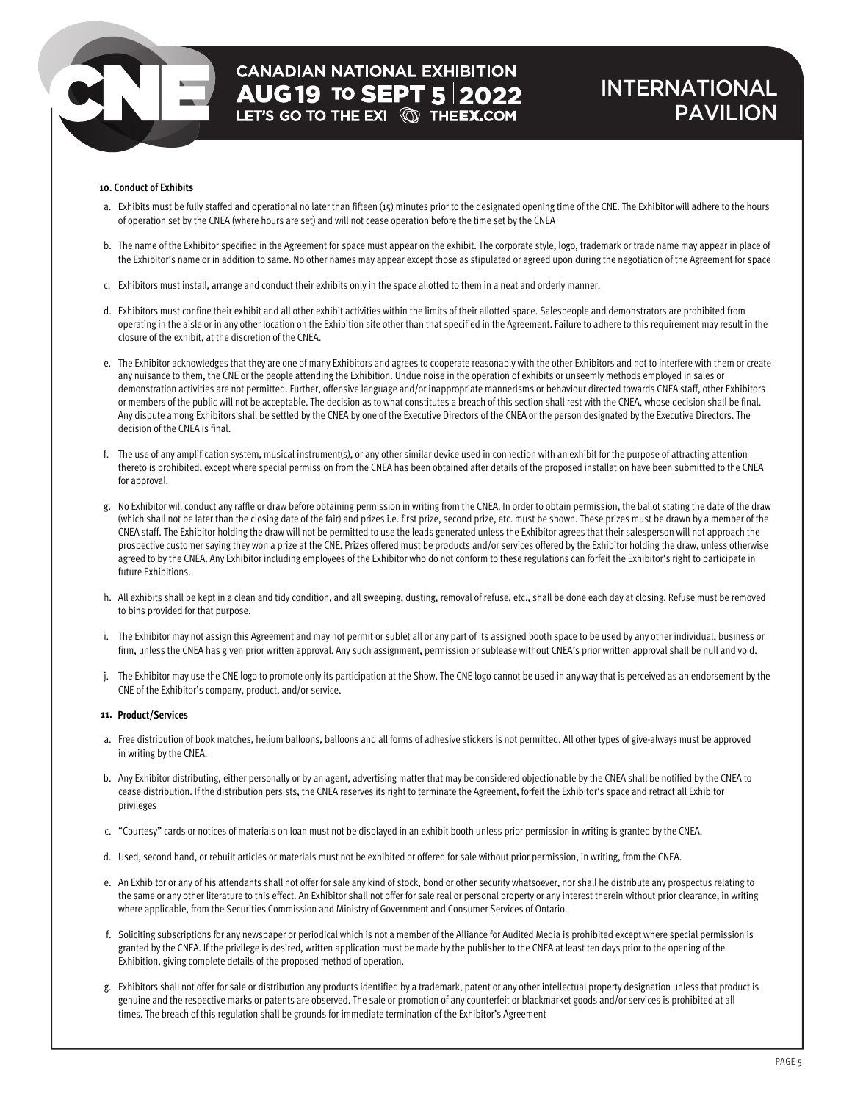### INTERNATIONAL PAVILION

### **10. Conduct of Exhibits**

- a. Exhibits must be fully staffed and operational no later than fifteen (15) minutes prior to the designated opening time of the CNE. The Exhibitor will adhere to the hours of operation set by the CNEA (where hours are set) and will not cease operation before the time set by the CNEA
- b. The name of the Exhibitor specified in the Agreement for space must appear on the exhibit. The corporate style, logo, trademark or trade name may appear in place of the Exhibitor's name or in addition to same. No other names may appear except those as stipulated or agreed upon during the negotiation of the Agreement for space
- c. Exhibitors must install, arrange and conduct their exhibits only in the space allotted to them in a neat and orderly manner.
- d. Exhibitors must confine their exhibit and all other exhibit activities within the limits of their allotted space. Salespeople and demonstrators are prohibited from operating in the aisle or in any other location on the Exhibition site other than that specified in the Agreement. Failure to adhere to this requirement may result in the closure of the exhibit, at the discretion of the CNEA.
- e. The Exhibitor acknowledges that they are one of many Exhibitors and agrees to cooperate reasonably with the other Exhibitors and not to interfere with them or create any nuisance to them, the CNE or the people attending the Exhibition. Undue noise in the operation of exhibits or unseemly methods employed in sales or demonstration activities are not permitted. Further, offensive language and/or inappropriate mannerisms or behaviour directed towards CNEA staff, other Exhibitors or members of the public will not be acceptable. The decision as to what constitutes a breach of this section shall rest with the CNEA, whose decision shall be final. Any dispute among Exhibitors shall be settled by the CNEA by one of the Executive Directors of the CNEA or the person designated by the Executive Directors. The decision of the CNEA is final.
- f. The use of any amplification system, musical instrument(s), or any other similar device used in connection with an exhibit for the purpose of attracting attention thereto is prohibited, except where special permission from the CNEA has been obtained after details of the proposed installation have been submitted to the CNEA for approval.
- g. No Exhibitor will conduct any raffle or draw before obtaining permission in writing from the CNEA. In order to obtain permission, the ballot stating the date of the draw (which shall not be later than the closing date of the fair) and prizes i.e. first prize, second prize, etc. must be shown. These prizes must be drawn by a member of the CNEA staff. The Exhibitor holding the draw will not be permitted to use the leads generated unless the Exhibitor agrees that their salesperson will not approach the prospective customer saying they won a prize at the CNE. Prizes offered must be products and/or services offered by the Exhibitor holding the draw, unless otherwise agreed to by the CNEA. Any Exhibitor including employees of the Exhibitor who do not conform to these regulations can forfeit the Exhibitor's right to participate in future Exhibitions..
- h. All exhibits shall be kept in a clean and tidy condition, and all sweeping, dusting, removal of refuse, etc., shall be done each day at closing. Refuse must be removed to bins provided for that purpose.
- i. The Exhibitor may not assign this Agreement and may not permit or sublet all or any part of its assigned booth space to be used by any other individual, business or firm, unless the CNEA has given prior written approval. Any such assignment, permission or sublease without CNEA's prior written approval shall be null and void.
- j. The Exhibitor may use the CNE logo to promote only its participation at the Show. The CNE logo cannot be used in any way that is perceived as an endorsement by the CNE of the Exhibitor's company, product, and/or service.

#### **11. Product/Services**

- a. Free distribution of book matches, helium balloons, balloons and all forms of adhesive stickers is not permitted. All other types of give-always must be approved in writing by the CNEA.
- b. Any Exhibitor distributing, either personally or by an agent, advertising matter that may be considered objectionable by the CNEA shall be notified by the CNEA to cease distribution. If the distribution persists, the CNEA reserves its right to terminate the Agreement, forfeit the Exhibitor's space and retract all Exhibitor privileges
- c. "Courtesy" cards or notices of materials on loan must not be displayed in an exhibit booth unless prior permission in writing is granted by the CNEA.
- d. Used, second hand, or rebuilt articles or materials must not be exhibited or offered for sale without prior permission, in writing, from the CNEA.
- e. An Exhibitor or any of his attendants shall not offer for sale any kind of stock, bond or other security whatsoever, nor shall he distribute any prospectus relating to the same or any other literature to this effect. An Exhibitor shall not offer for sale real or personal property or any interest therein without prior clearance, in writing where applicable, from the Securities Commission and Ministry of Government and Consumer Services of Ontario.
- f. Soliciting subscriptions for any newspaper or periodical which is not a member of the Alliance for Audited Media is prohibited except where special permission is granted by the CNEA. If the privilege is desired, written application must be made by the publisher to the CNEA at least ten days prior to the opening of the Exhibition, giving complete details of the proposed method of operation.
- g. Exhibitors shall not offer for sale or distribution any products identified by a trademark, patent or any other intellectual property designation unless that product is genuine and the respective marks or patents are observed. The sale or promotion of any counterfeit or blackmarket goods and/or services is prohibited at all times. The breach of this regulation shall be grounds for immediate termination of the Exhibitor's Agreement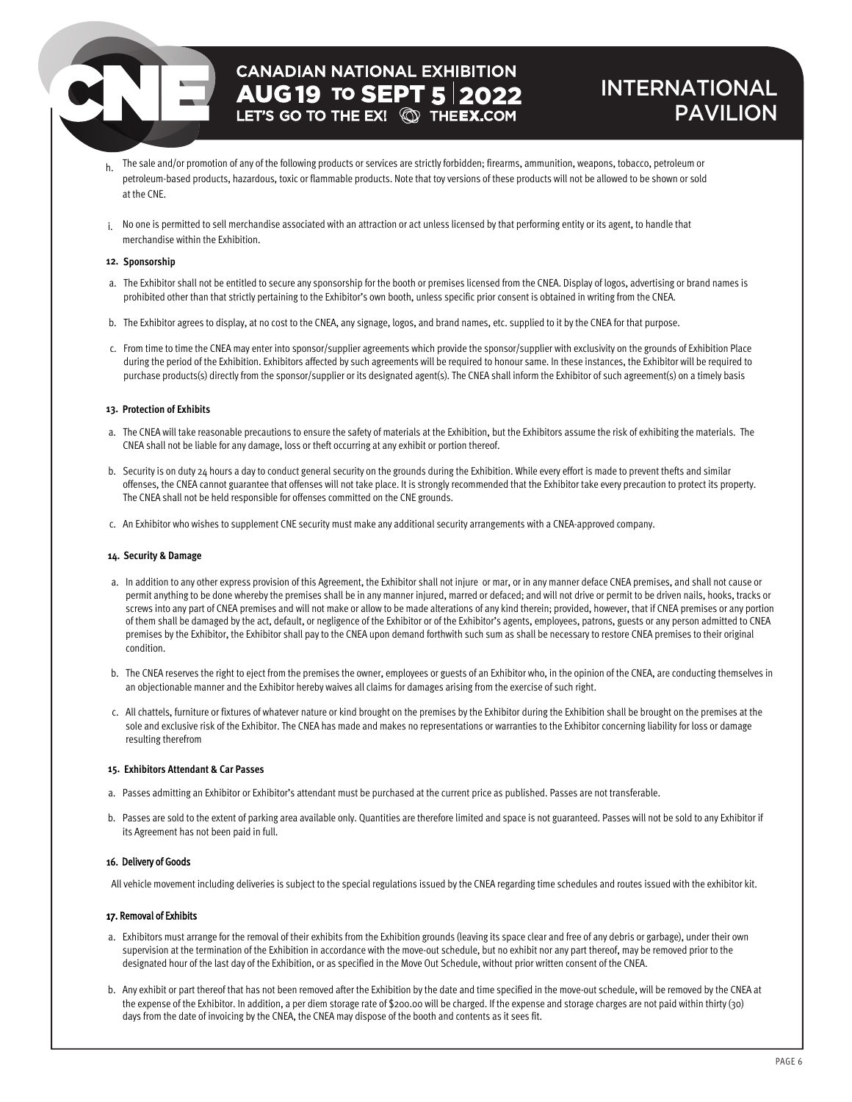## **CANADIAN NATIONAL EXHIBITION AUG 19 TO SEPT 5 2022**

### INTERNATIONAL PAVILION

- h. The sale and/or promotion of any of the following products or services are strictly forbidden; firearms, ammunition, weapons, tobacco, petroleum or petroleum-based products, hazardous, toxic or flammable products. Note that toy versions of these products will not be allowed to be shown or sold at the CNE.
- i. No one is permitted to sell merchandise associated with an attraction or act unless licensed by that performing entity or its agent, to handle that merchandise within the Exhibition.

### **12. Sponsorship**

- a. The Exhibitor shall not be entitled to secure any sponsorship for the booth or premises licensed from the CNEA. Display of logos, advertising or brand names is prohibited other than that strictly pertaining to the Exhibitor's own booth, unless specific prior consent is obtained in writing from the CNEA.
- b. The Exhibitor agrees to display, at no cost to the CNEA, any signage, logos, and brand names, etc. supplied to it by the CNEA for that purpose.
- c. From time to time the CNEA may enter into sponsor/supplier agreements which provide the sponsor/supplier with exclusivity on the grounds of Exhibition Place during the period of the Exhibition. Exhibitors affected by such agreements will be required to honour same. In these instances, the Exhibitor will be required to purchase products(s) directly from the sponsor/supplier or its designated agent(s). The CNEA shall inform the Exhibitor of such agreement(s) on a timely basis

### **13. Protection of Exhibits**

- a. The CNEA will take reasonable precautions to ensure the safety of materials at the Exhibition, but the Exhibitors assume the risk of exhibiting the materials. The CNEA shall not be liable for any damage, loss or theft occurring at any exhibit or portion thereof.
- b. Security is on duty 24 hours a day to conduct general security on the grounds during the Exhibition. While every effort is made to prevent thefts and similar offenses, the CNEA cannot guarantee that offenses will not take place. It is strongly recommended that the Exhibitor take every precaution to protect its property. The CNEA shall not be held responsible for offenses committed on the CNE grounds.
- c. An Exhibitor who wishes to supplement CNE security must make any additional security arrangements with a CNEA-approved company.

### **14. Security & Damage**

- a. In addition to any other express provision of this Agreement, the Exhibitor shall not injure or mar, or in any manner deface CNEA premises, and shall not cause or permit anything to be done whereby the premises shall be in any manner injured, marred or defaced; and will not drive or permit to be driven nails, hooks, tracks or screws into any part of CNEA premises and will not make or allow to be made alterations of any kind therein; provided, however, that if CNEA premises or any portion of them shall be damaged by the act, default, or negligence of the Exhibitor or of the Exhibitor's agents, employees, patrons, guests or any person admitted to CNEA premises by the Exhibitor, the Exhibitor shall pay to the CNEA upon demand forthwith such sum as shall be necessary to restore CNEA premises to their original condition.
- b. The CNEA reserves the right to eject from the premises the owner, employees or guests of an Exhibitor who, in the opinion of the CNEA, are conducting themselves in an objectionable manner and the Exhibitor hereby waives all claims for damages arising from the exercise of such right.
- c. All chattels, furniture or fixtures of whatever nature or kind brought on the premises by the Exhibitor during the Exhibition shall be brought on the premises at the sole and exclusive risk of the Exhibitor. The CNEA has made and makes no representations or warranties to the Exhibitor concerning liability for loss or damage resulting therefrom

### **15. Exhibitors Attendant & Car Passes**

- a. Passes admitting an Exhibitor or Exhibitor's attendant must be purchased at the current price as published. Passes are not transferable.
- b. Passes are sold to the extent of parking area available only. Quantities are therefore limited and space is not guaranteed. Passes will not be sold to any Exhibitor if its Agreement has not been paid in full.

### 16. Delivery of Goods

All vehicle movement including deliveries is subject to the special regulations issued by the CNEA regarding time schedules and routes issued with the exhibitor kit.

### 17. Removal of Exhibits

- a. Exhibitors must arrange for the removal of their exhibits from the Exhibition grounds (leaving its space clear and free of any debris or garbage), under their own supervision at the termination of the Exhibition in accordance with the move-out schedule, but no exhibit nor any part thereof, may be removed prior to the designated hour of the last day of the Exhibition, or as specified in the Move Out Schedule, without prior written consent of the CNEA.
- b. Any exhibit or part thereof that has not been removed after the Exhibition by the date and time specified in the move-out schedule, will be removed by the CNEA at the expense of the Exhibitor. In addition, a per diem storage rate of \$200.00 will be charged. If the expense and storage charges are not paid within thirty (30) days from the date of invoicing by the CNEA, the CNEA may dispose of the booth and contents as it sees fit.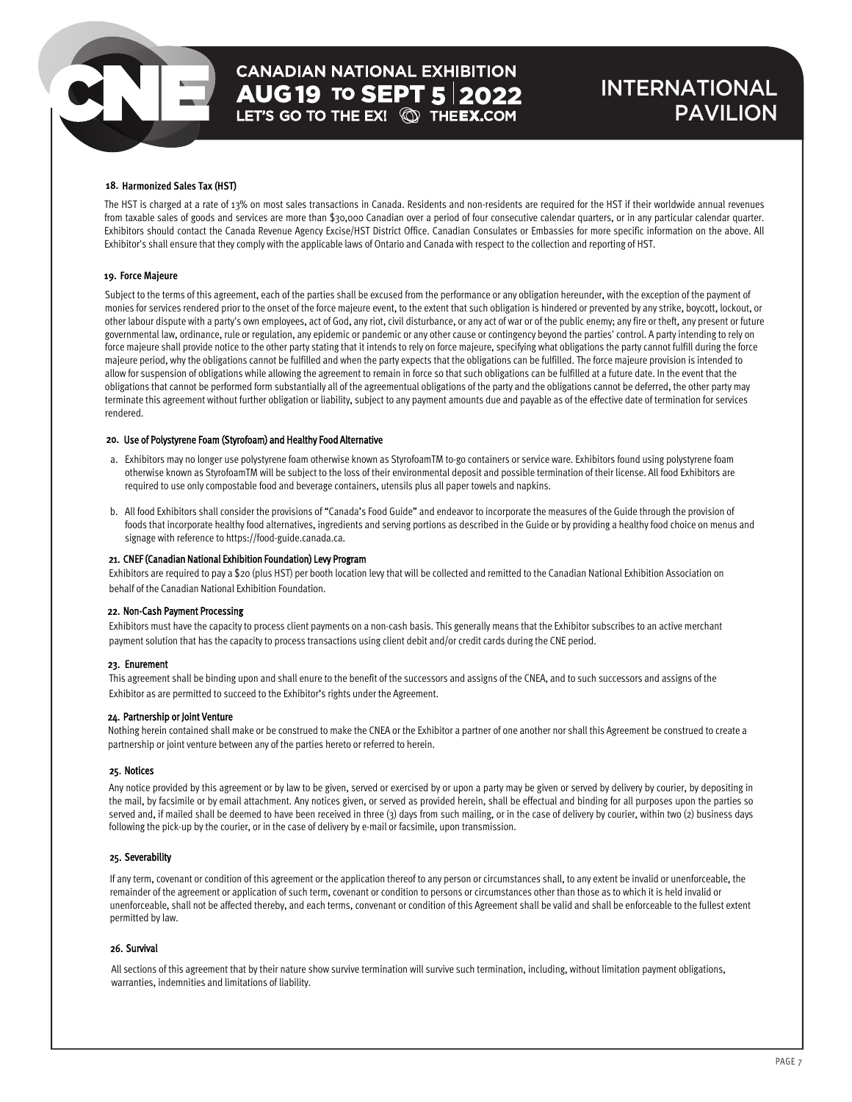### INTERNATIONAL PAVILION

### **18. Harmonized Sales Tax (HST)**

The HST is charged at a rate of 13% on most sales transactions in Canada. Residents and non-residents are required for the HST if their worldwide annual revenues from taxable sales of goods and services are more than \$30,000 Canadian over a period of four consecutive calendar quarters, or in any particular calendar quarter. Exhibitors should contact the Canada Revenue Agency Excise/HST District Office. Canadian Consulates or Embassies for more specific information on the above. All Exhibitor's shall ensure that they comply with the applicable laws of Ontario and Canada with respect to the collection and reporting of HST.

### **19. Force Majeure**

Subject to the terms of this agreement, each of the parties shall be excused from the performance or any obligation hereunder, with the exception of the payment of monies for services rendered prior to the onset of the force majeure event, to the extent that such obligation is hindered or prevented by any strike, boycott, lockout, or other labour dispute with a party's own employees, act of God, any riot, civil disturbance, or any act of war or of the public enemy; any fire or theft, any present or future governmental law, ordinance, rule or regulation, any epidemic or pandemic or any other cause or contingency beyond the parties' control. A party intending to rely on force majeure shall provide notice to the other party stating that it intends to rely on force majeure, specifying what obligations the party cannot fulfill during the force majeure period, why the obligations cannot be fulfilled and when the party expects that the obligations can be fulfilled. The force majeure provision is intended to allow for suspension of obligations while allowing the agreement to remain in force so that such obligations can be fulfilled at a future date. In the event that the obligations that cannot be performed form substantially all of the agreementual obligations of the party and the obligations cannot be deferred, the other party may terminate this agreement without further obligation or liability, subject to any payment amounts due and payable as of the effective date of termination for services rendered.

#### 20. Use of Polystyrene Foam (Styrofoam) and Healthy Food Alternative

- a. Exhibitors may no longer use polystyrene foam otherwise known as StyrofoamTM to-go containers or service ware. Exhibitors found using polystyrene foam otherwise known as StyrofoamTM will be subject to the loss of their environmental deposit and possible termination of their license. All food Exhibitors are required to use only compostable food and beverage containers, utensils plus all paper towels and napkins.
- b. All food Exhibitors shall consider the provisions of "Canada's Food Guide" and endeavor to incorporate the measures of the Guide through the provision of foods that incorporate healthy food alternatives, ingredients and serving portions as described in the Guide or by providing a healthy food choice on menus and signage with reference to https://food-guide.canada.ca.

### 21. CNEF (Canadian National Exhibition Foundation) Levy Program

Exhibitors are required to pay a \$20 (plus HST) per booth location levy that will be collected and remitted to the Canadian National Exhibition Association on behalf of the Canadian National Exhibition Foundation.

### 22. Non-Cash Payment Processing

Exhibitors must have the capacity to process client payments on a non-cash basis. This generally means that the Exhibitor subscribes to an active merchant payment solution that has the capacity to process transactions using client debit and/or credit cards during the CNE period.

#### 23. Enurement

This agreement shall be binding upon and shall enure to the benefit of the successors and assigns of the CNEA, and to such successors and assigns of the Exhibitor as are permitted to succeed to the Exhibitor's rights under the Agreement.

#### 24. Partnership or Joint Venture

Nothing herein contained shall make or be construed to make the CNEA or the Exhibitor a partner of one another nor shall this Agreement be construed to create a partnership or joint venture between any of the parties hereto or referred to herein.

#### 25. Notices

Any notice provided by this agreement or by law to be given, served or exercised by or upon a party may be given or served by delivery by courier, by depositing in the mail, by facsimile or by email attachment. Any notices given, or served as provided herein, shall be effectual and binding for all purposes upon the parties so served and, if mailed shall be deemed to have been received in three (3) days from such mailing, or in the case of delivery by courier, within two (2) business days following the pick-up by the courier, or in the case of delivery by e-mail or facsimile, upon transmission.

### 25. Severability

If any term, covenant or condition of this agreement or the application thereof to any person or circumstances shall, to any extent be invalid or unenforceable, the remainder of the agreement or application of such term, covenant or condition to persons or circumstances other than those as to which it is held invalid or unenforceable, shall not be affected thereby, and each terms, convenant or condition of this Agreement shall be valid and shall be enforceable to the fullest extent permitted by law.

### 26. Survival

All sections of this agreement that by their nature show survive termination will survive such termination, including, without limitation payment obligations, warranties, indemnities and limitations of liability.